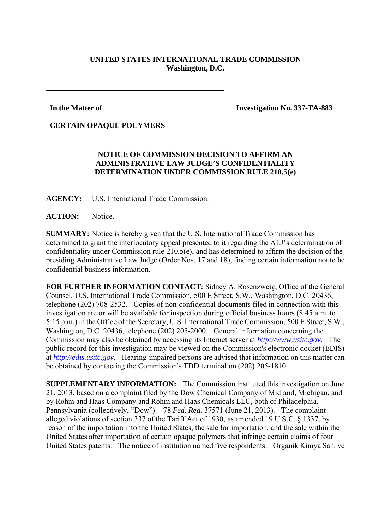## **UNITED STATES INTERNATIONAL TRADE COMMISSION Washington, D.C.**

## **In the Matter of**

**Investigation No. 337-TA-883** 

## **CERTAIN OPAQUE POLYMERS**

## **NOTICE OF COMMISSION DECISION TO AFFIRM AN ADMINISTRATIVE LAW JUDGE'S CONFIDENTIALITY DETERMINATION UNDER COMMISSION RULE 210.5(e)**

**AGENCY:** U.S. International Trade Commission.

**ACTION:** Notice.

**SUMMARY:** Notice is hereby given that the U.S. International Trade Commission has determined to grant the interlocutory appeal presented to it regarding the ALJ's determination of confidentiality under Commission rule 210.5(e), and has determined to affirm the decision of the presiding Administrative Law Judge (Order Nos. 17 and 18), finding certain information not to be confidential business information.

**FOR FURTHER INFORMATION CONTACT:** Sidney A. Rosenzweig, Office of the General Counsel, U.S. International Trade Commission, 500 E Street, S.W., Washington, D.C. 20436, telephone (202) 708-2532. Copies of non-confidential documents filed in connection with this investigation are or will be available for inspection during official business hours (8:45 a.m. to 5:15 p.m.) in the Office of the Secretary, U.S. International Trade Commission, 500 E Street, S.W., Washington, D.C. 20436, telephone (202) 205-2000. General information concerning the Commission may also be obtained by accessing its Internet server at *http://www.usitc.gov*. The public record for this investigation may be viewed on the Commission's electronic docket (EDIS) at *http://edis.usitc.gov*. Hearing-impaired persons are advised that information on this matter can be obtained by contacting the Commission's TDD terminal on  $(202)$  205-1810.

**SUPPLEMENTARY INFORMATION:** The Commission instituted this investigation on June 21, 2013, based on a complaint filed by the Dow Chemical Company of Midland, Michigan, and by Rohm and Haas Company and Rohm and Haas Chemicals LLC, both of Philadelphia, Pennsylvania (collectively, "Dow"). 78 *Fed. Reg.* 37571 (June 21, 2013). The complaint alleged violations of section 337 of the Tariff Act of 1930, as amended 19 U.S.C. § 1337, by reason of the importation into the United States, the sale for importation, and the sale within the United States after importation of certain opaque polymers that infringe certain claims of four United States patents. The notice of institution named five respondents: Organik Kimya San. ve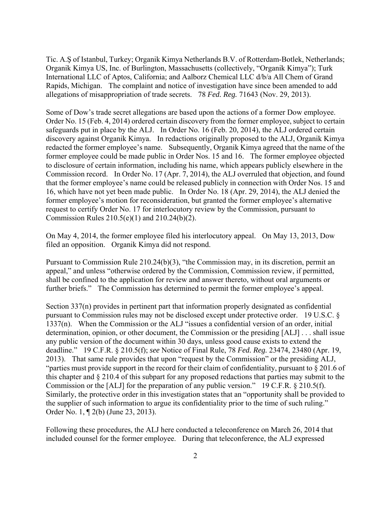Tic. A.Ş of Istanbul, Turkey; Organik Kimya Netherlands B.V. of Rotterdam-Botlek, Netherlands; Organik Kimya US, Inc. of Burlington, Massachusetts (collectively, "Organik Kimya"); Turk International LLC of Aptos, California; and Aalborz Chemical LLC d/b/a All Chem of Grand Rapids, Michigan. The complaint and notice of investigation have since been amended to add allegations of misappropriation of trade secrets. 78 *Fed. Reg.* 71643 (Nov. 29, 2013).

Some of Dow's trade secret allegations are based upon the actions of a former Dow employee. Order No. 15 (Feb. 4, 2014) ordered certain discovery from the former employee, subject to certain safeguards put in place by the ALJ. In Order No. 16 (Feb. 20, 2014), the ALJ ordered certain discovery against Organik Kimya. In redactions originally proposed to the ALJ, Organik Kimya redacted the former employee's name. Subsequently, Organik Kimya agreed that the name of the former employee could be made public in Order Nos. 15 and 16. The former employee objected to disclosure of certain information, including his name, which appears publicly elsewhere in the Commission record. In Order No. 17 (Apr. 7, 2014), the ALJ overruled that objection, and found that the former employee's name could be released publicly in connection with Order Nos. 15 and 16, which have not yet been made public. In Order No. 18 (Apr. 29, 2014), the ALJ denied the former employee's motion for reconsideration, but granted the former employee's alternative request to certify Order No. 17 for interlocutory review by the Commission, pursuant to Commission Rules 210.5(e)(1) and 210.24(b)(2).

On May 4, 2014, the former employee filed his interlocutory appeal. On May 13, 2013, Dow filed an opposition. Organik Kimya did not respond.

Pursuant to Commission Rule 210.24(b)(3), "the Commission may, in its discretion, permit an appeal," and unless "otherwise ordered by the Commission, Commission review, if permitted, shall be confined to the application for review and answer thereto, without oral arguments or further briefs." The Commission has determined to permit the former employee's appeal.

Section 337(n) provides in pertinent part that information properly designated as confidential pursuant to Commission rules may not be disclosed except under protective order. 19 U.S.C. § 1337(n). When the Commission or the ALJ "issues a confidential version of an order, initial determination, opinion, or other document, the Commission or the presiding [ALJ] . . . shall issue any public version of the document within 30 days, unless good cause exists to extend the deadline." 19 C.F.R. § 210.5(f); *see* Notice of Final Rule, 78 *Fed. Reg.* 23474, 23480 (Apr. 19, 2013). That same rule provides that upon "request by the Commission" or the presiding ALJ, "parties must provide support in the record for their claim of confidentiality, pursuant to § 201.6 of this chapter and § 210.4 of this subpart for any proposed redactions that parties may submit to the Commission or the [ALJ] for the preparation of any public version." 19 C.F.R. § 210.5(f). Similarly, the protective order in this investigation states that an "opportunity shall be provided to the supplier of such information to argue its confidentiality prior to the time of such ruling." Order No. 1, ¶ 2(b) (June 23, 2013).

Following these procedures, the ALJ here conducted a teleconference on March 26, 2014 that included counsel for the former employee. During that teleconference, the ALJ expressed